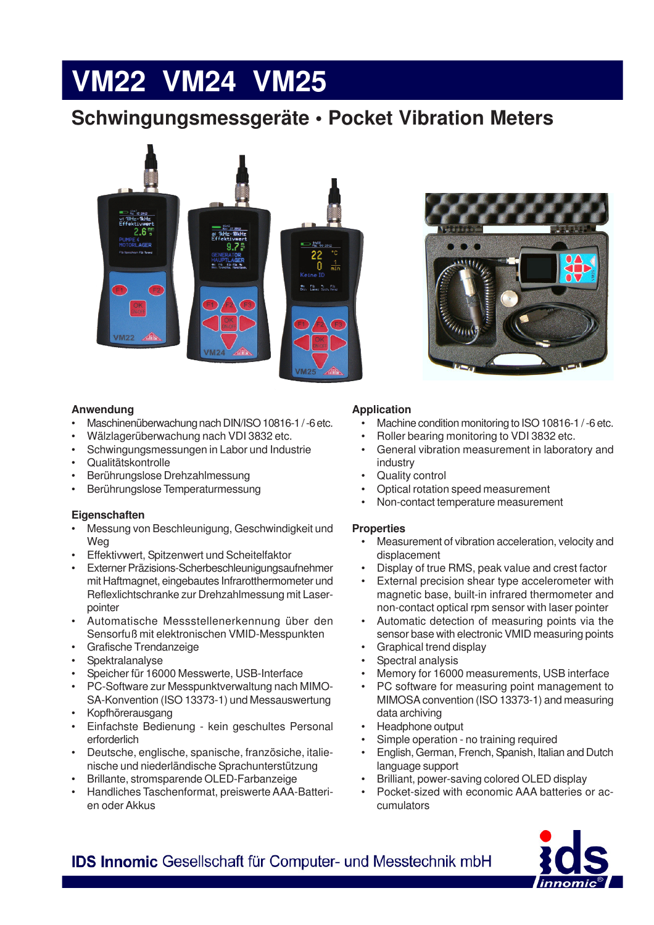# **VM22 VM24 VM25**

## **Schwingungsmessgeräte • Pocket Vibration Meters**





#### **Anwendung**

- Maschinenüberwachung nach DIN/ISO 10816-1 / -6 etc.
- Wälzlagerüberwachung nach VDI 3832 etc.
- Schwingungsmessungen in Labor und Industrie
- Qualitätskontrolle
- Berührungslose Drehzahlmessung
- Berührungslose Temperaturmessung

#### **Eigenschaften**

- Messung von Beschleunigung, Geschwindigkeit und **Weg**
- Effektivwert, Spitzenwert und Scheitelfaktor
- Externer Präzisions-Scherbeschleunigungsaufnehmer mit Haftmagnet, eingebautes Infrarotthermometer und Reflexlichtschranke zur Drehzahlmessung mit Laserpointer
- Automatische Messstellenerkennung über den Sensorfuß mit elektronischen VMID-Messpunkten
- Grafische Trendanzeige
- **Spektralanalyse**
- Speicher für 16000 Messwerte, USB-Interface
- PC-Software zur Messpunktverwaltung nach MIMO-SA-Konvention (ISO 13373-1) und Messauswertung
- Kopfhörerausgang
- Einfachste Bedienung kein geschultes Personal erforderlich
- Deutsche, englische, spanische, französiche, italienische und niederländische Sprachunterstützung
- Brillante, stromsparende OLED-Farbanzeige
- Handliches Taschenformat, preiswerte AAA-Batterien oder Akkus

#### **Application**

- Machine condition monitoring to ISO 10816-1/-6 etc.
- Roller bearing monitoring to VDI 3832 etc.
- General vibration measurement in laboratory and industry
- Quality control
- Optical rotation speed measurement
- Non-contact temperature measurement

#### **Properties**

- Measurement of vibration acceleration, velocity and displacement
- Display of true RMS, peak value and crest factor
- External precision shear type accelerometer with magnetic base, built-in infrared thermometer and non-contact optical rpm sensor with laser pointer
- Automatic detection of measuring points via the sensor base with electronic VMID measuring points
- Graphical trend display
- Spectral analysis
- Memory for 16000 measurements, USB interface
- PC software for measuring point management to MIMOSA convention (ISO 13373-1) and measuring data archiving
- Headphone output
- Simple operation no training required
- English, German, French, Spanish, Italian and Dutch language support
- Brilliant, power-saving colored OLED display
- Pocket-sized with economic AAA batteries or accumulators



IDS Innomic Gesellschaft für Computer- und Messtechnik mbH